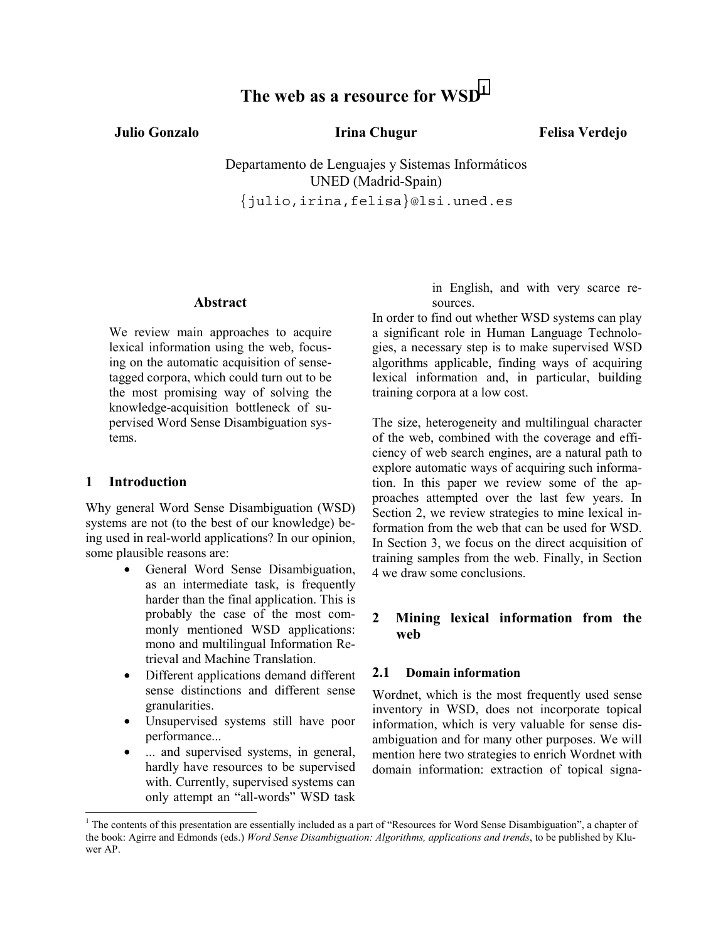# **The web as a resource for WSD1**

**Julio Gonzalo Irina Chugur** 

**Felisa Verdejo**

Departamento de Lenguajes y Sistemas Informáticos UNED (Madrid-Spain) {julio,irina,felisa}@lsi.uned.es

#### **Abstract**

We review main approaches to acquire lexical information using the web, focusing on the automatic acquisition of sensetagged corpora, which could turn out to be the most promising way of solving the knowledge-acquisition bottleneck of supervised Word Sense Disambiguation systems.

#### **1 Introduction**

l

Why general Word Sense Disambiguation (WSD) systems are not (to the best of our knowledge) being used in real-world applications? In our opinion, some plausible reasons are:

- General Word Sense Disambiguation, as an intermediate task, is frequently harder than the final application. This is probably the case of the most commonly mentioned WSD applications: mono and multilingual Information Retrieval and Machine Translation.
- Different applications demand different sense distinctions and different sense granularities.
- Unsupervised systems still have poor performance...
- ... and supervised systems, in general, hardly have resources to be supervised with. Currently, supervised systems can only attempt an "all-words" WSD task

in English, and with very scarce resources.

In order to find out whether WSD systems can play a significant role in Human Language Technologies, a necessary step is to make supervised WSD algorithms applicable, finding ways of acquiring lexical information and, in particular, building training corpora at a low cost.

The size, heterogeneity and multilingual character of the web, combined with the coverage and efficiency of web search engines, are a natural path to explore automatic ways of acquiring such information. In this paper we review some of the approaches attempted over the last few years. In Section 2, we review strategies to mine lexical information from the web that can be used for WSD. In Section 3, we focus on the direct acquisition of training samples from the web. Finally, in Section 4 we draw some conclusions.

#### **2 Mining lexical information from the web**

#### **2.1 Domain information**

Wordnet, which is the most frequently used sense inventory in WSD, does not incorporate topical information, which is very valuable for sense disambiguation and for many other purposes. We will mention here two strategies to enrich Wordnet with domain information: extraction of topical signa-

<sup>&</sup>lt;sup>1</sup> The contents of this presentation are essentially included as a part of "Resources for Word Sense Disambiguation", a chapter of the book: Agirre and Edmonds (eds.) *Word Sense Disambiguation: Algorithms, applications and trends*, to be published by Kluwer AP.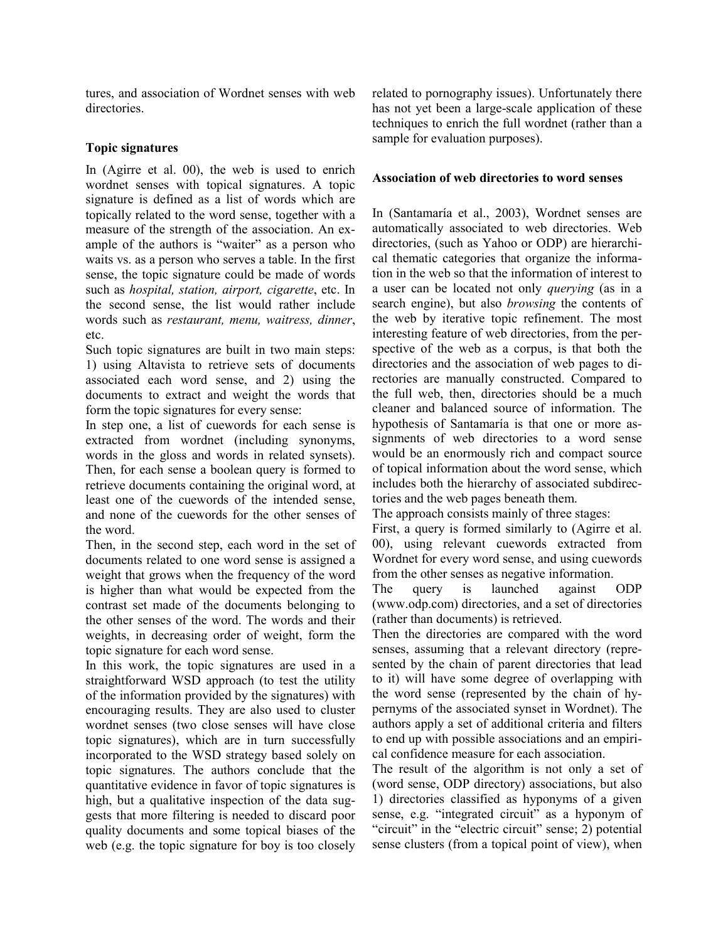tures, and association of Wordnet senses with web directories.

#### **Topic signatures**

In (Agirre et al. 00), the web is used to enrich wordnet senses with topical signatures. A topic signature is defined as a list of words which are topically related to the word sense, together with a measure of the strength of the association. An example of the authors is "waiter" as a person who waits vs. as a person who serves a table. In the first sense, the topic signature could be made of words such as *hospital, station, airport, cigarette*, etc. In the second sense, the list would rather include words such as *restaurant, menu, waitress, dinner*, etc.

Such topic signatures are built in two main steps: 1) using Altavista to retrieve sets of documents associated each word sense, and 2) using the documents to extract and weight the words that form the topic signatures for every sense:

In step one, a list of cuewords for each sense is extracted from wordnet (including synonyms, words in the gloss and words in related synsets). Then, for each sense a boolean query is formed to retrieve documents containing the original word, at least one of the cuewords of the intended sense, and none of the cuewords for the other senses of the word.

Then, in the second step, each word in the set of documents related to one word sense is assigned a weight that grows when the frequency of the word is higher than what would be expected from the contrast set made of the documents belonging to the other senses of the word. The words and their weights, in decreasing order of weight, form the topic signature for each word sense.

In this work, the topic signatures are used in a straightforward WSD approach (to test the utility of the information provided by the signatures) with encouraging results. They are also used to cluster wordnet senses (two close senses will have close topic signatures), which are in turn successfully incorporated to the WSD strategy based solely on topic signatures. The authors conclude that the quantitative evidence in favor of topic signatures is high, but a qualitative inspection of the data suggests that more filtering is needed to discard poor quality documents and some topical biases of the web (e.g. the topic signature for boy is too closely related to pornography issues). Unfortunately there has not yet been a large-scale application of these techniques to enrich the full wordnet (rather than a sample for evaluation purposes).

#### **Association of web directories to word senses**

In (Santamaría et al., 2003), Wordnet senses are automatically associated to web directories. Web directories, (such as Yahoo or ODP) are hierarchical thematic categories that organize the information in the web so that the information of interest to a user can be located not only *querying* (as in a search engine), but also *browsing* the contents of the web by iterative topic refinement. The most interesting feature of web directories, from the perspective of the web as a corpus, is that both the directories and the association of web pages to directories are manually constructed. Compared to the full web, then, directories should be a much cleaner and balanced source of information. The hypothesis of Santamaría is that one or more assignments of web directories to a word sense would be an enormously rich and compact source of topical information about the word sense, which includes both the hierarchy of associated subdirectories and the web pages beneath them.

The approach consists mainly of three stages:

First, a query is formed similarly to (Agirre et al. 00), using relevant cuewords extracted from Wordnet for every word sense, and using cuewords from the other senses as negative information.

The query is launched against ODP (www.odp.com) directories, and a set of directories (rather than documents) is retrieved.

Then the directories are compared with the word senses, assuming that a relevant directory (represented by the chain of parent directories that lead to it) will have some degree of overlapping with the word sense (represented by the chain of hypernyms of the associated synset in Wordnet). The authors apply a set of additional criteria and filters to end up with possible associations and an empirical confidence measure for each association.

The result of the algorithm is not only a set of (word sense, ODP directory) associations, but also 1) directories classified as hyponyms of a given sense, e.g. "integrated circuit" as a hyponym of "circuit" in the "electric circuit" sense; 2) potential sense clusters (from a topical point of view), when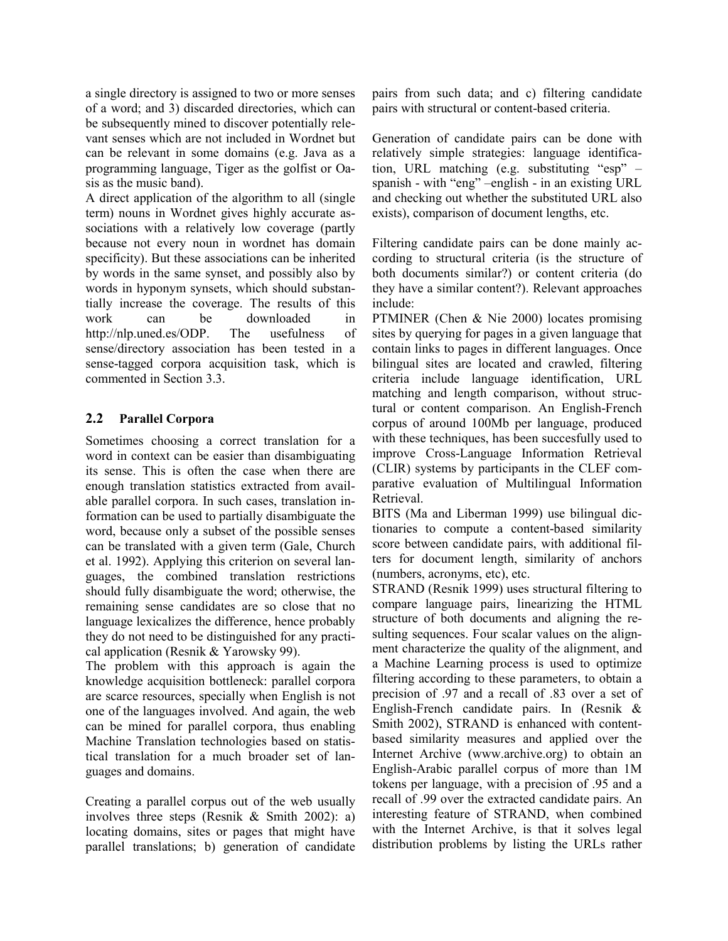a single directory is assigned to two or more senses of a word; and 3) discarded directories, which can be subsequently mined to discover potentially relevant senses which are not included in Wordnet but can be relevant in some domains (e.g. Java as a programming language, Tiger as the golfist or Oasis as the music band).

A direct application of the algorithm to all (single term) nouns in Wordnet gives highly accurate associations with a relatively low coverage (partly because not every noun in wordnet has domain specificity). But these associations can be inherited by words in the same synset, and possibly also by words in hyponym synsets, which should substantially increase the coverage. The results of this work can be downloaded in http://nlp.uned.es/ODP. The usefulness of sense/directory association has been tested in a sense-tagged corpora acquisition task, which is commented in Section 3.3.

## **2.2 Parallel Corpora**

Sometimes choosing a correct translation for a word in context can be easier than disambiguating its sense. This is often the case when there are enough translation statistics extracted from available parallel corpora. In such cases, translation information can be used to partially disambiguate the word, because only a subset of the possible senses can be translated with a given term (Gale, Church et al. 1992). Applying this criterion on several languages, the combined translation restrictions should fully disambiguate the word; otherwise, the remaining sense candidates are so close that no language lexicalizes the difference, hence probably they do not need to be distinguished for any practical application (Resnik & Yarowsky 99).

The problem with this approach is again the knowledge acquisition bottleneck: parallel corpora are scarce resources, specially when English is not one of the languages involved. And again, the web can be mined for parallel corpora, thus enabling Machine Translation technologies based on statistical translation for a much broader set of languages and domains.

Creating a parallel corpus out of the web usually involves three steps (Resnik & Smith 2002): a) locating domains, sites or pages that might have parallel translations; b) generation of candidate pairs from such data; and c) filtering candidate pairs with structural or content-based criteria.

Generation of candidate pairs can be done with relatively simple strategies: language identification, URL matching (e.g. substituting "esp" – spanish - with "eng" –english - in an existing URL and checking out whether the substituted URL also exists), comparison of document lengths, etc.

Filtering candidate pairs can be done mainly according to structural criteria (is the structure of both documents similar?) or content criteria (do they have a similar content?). Relevant approaches include:

PTMINER (Chen & Nie 2000) locates promising sites by querying for pages in a given language that contain links to pages in different languages. Once bilingual sites are located and crawled, filtering criteria include language identification, URL matching and length comparison, without structural or content comparison. An English-French corpus of around 100Mb per language, produced with these techniques, has been succesfully used to improve Cross-Language Information Retrieval (CLIR) systems by participants in the CLEF comparative evaluation of Multilingual Information Retrieval.

BITS (Ma and Liberman 1999) use bilingual dictionaries to compute a content-based similarity score between candidate pairs, with additional filters for document length, similarity of anchors (numbers, acronyms, etc), etc.

STRAND (Resnik 1999) uses structural filtering to compare language pairs, linearizing the HTML structure of both documents and aligning the resulting sequences. Four scalar values on the alignment characterize the quality of the alignment, and a Machine Learning process is used to optimize filtering according to these parameters, to obtain a precision of .97 and a recall of .83 over a set of English-French candidate pairs. In (Resnik & Smith 2002), STRAND is enhanced with contentbased similarity measures and applied over the Internet Archive (www.archive.org) to obtain an English-Arabic parallel corpus of more than 1M tokens per language, with a precision of .95 and a recall of .99 over the extracted candidate pairs. An interesting feature of STRAND, when combined with the Internet Archive, is that it solves legal distribution problems by listing the URLs rather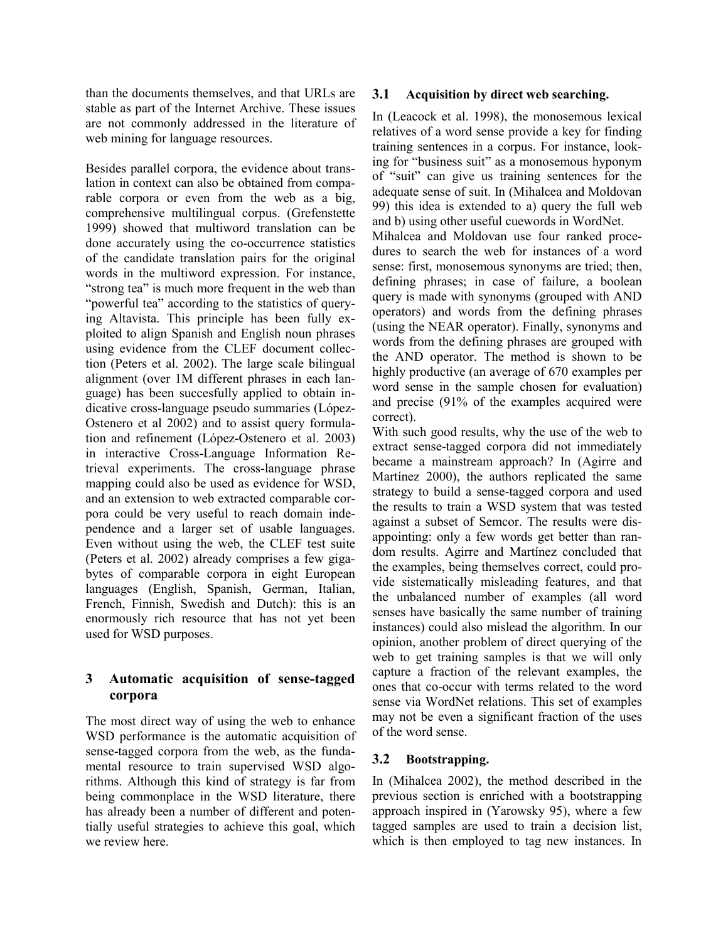than the documents themselves, and that URLs are stable as part of the Internet Archive. These issues are not commonly addressed in the literature of web mining for language resources.

Besides parallel corpora, the evidence about translation in context can also be obtained from comparable corpora or even from the web as a big, comprehensive multilingual corpus. (Grefenstette 1999) showed that multiword translation can be done accurately using the co-occurrence statistics of the candidate translation pairs for the original words in the multiword expression. For instance, "strong tea" is much more frequent in the web than "powerful tea" according to the statistics of querying Altavista. This principle has been fully exploited to align Spanish and English noun phrases using evidence from the CLEF document collection (Peters et al. 2002). The large scale bilingual alignment (over 1M different phrases in each language) has been succesfully applied to obtain indicative cross-language pseudo summaries (López-Ostenero et al 2002) and to assist query formulation and refinement (López-Ostenero et al. 2003) in interactive Cross-Language Information Retrieval experiments. The cross-language phrase mapping could also be used as evidence for WSD, and an extension to web extracted comparable corpora could be very useful to reach domain independence and a larger set of usable languages. Even without using the web, the CLEF test suite (Peters et al. 2002) already comprises a few gigabytes of comparable corpora in eight European languages (English, Spanish, German, Italian, French, Finnish, Swedish and Dutch): this is an enormously rich resource that has not yet been used for WSD purposes.

## **3 Automatic acquisition of sense-tagged corpora**

The most direct way of using the web to enhance WSD performance is the automatic acquisition of sense-tagged corpora from the web, as the fundamental resource to train supervised WSD algorithms. Although this kind of strategy is far from being commonplace in the WSD literature, there has already been a number of different and potentially useful strategies to achieve this goal, which we review here.

#### **3.1 Acquisition by direct web searching.**

In (Leacock et al. 1998), the monosemous lexical relatives of a word sense provide a key for finding training sentences in a corpus. For instance, looking for "business suit" as a monosemous hyponym of "suit" can give us training sentences for the adequate sense of suit. In (Mihalcea and Moldovan 99) this idea is extended to a) query the full web and b) using other useful cuewords in WordNet. Mihalcea and Moldovan use four ranked procedures to search the web for instances of a word sense: first, monosemous synonyms are tried; then, defining phrases; in case of failure, a boolean query is made with synonyms (grouped with AND operators) and words from the defining phrases (using the NEAR operator). Finally, synonyms and words from the defining phrases are grouped with the AND operator. The method is shown to be highly productive (an average of 670 examples per word sense in the sample chosen for evaluation)

and precise (91% of the examples acquired were

correct). With such good results, why the use of the web to extract sense-tagged corpora did not immediately became a mainstream approach? In (Agirre and Martínez 2000), the authors replicated the same strategy to build a sense-tagged corpora and used the results to train a WSD system that was tested against a subset of Semcor. The results were disappointing: only a few words get better than random results. Agirre and Martínez concluded that the examples, being themselves correct, could provide sistematically misleading features, and that the unbalanced number of examples (all word senses have basically the same number of training instances) could also mislead the algorithm. In our opinion, another problem of direct querying of the web to get training samples is that we will only capture a fraction of the relevant examples, the ones that co-occur with terms related to the word sense via WordNet relations. This set of examples may not be even a significant fraction of the uses of the word sense.

## **3.2 Bootstrapping.**

In (Mihalcea 2002), the method described in the previous section is enriched with a bootstrapping approach inspired in (Yarowsky 95), where a few tagged samples are used to train a decision list, which is then employed to tag new instances. In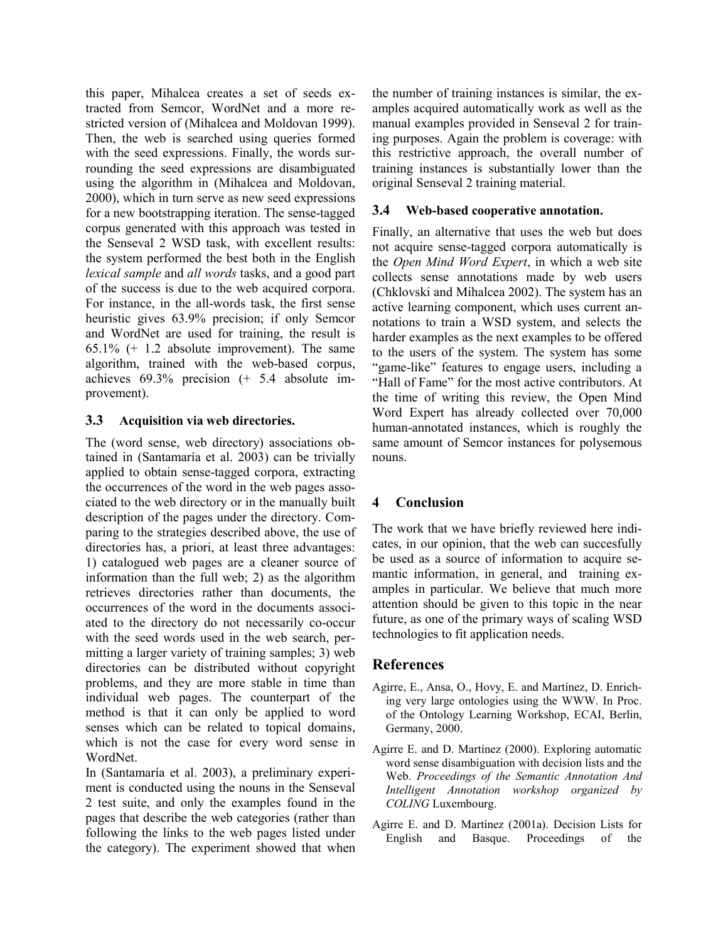this paper, Mihalcea creates a set of seeds extracted from Semcor, WordNet and a more restricted version of (Mihalcea and Moldovan 1999). Then, the web is searched using queries formed with the seed expressions. Finally, the words surrounding the seed expressions are disambiguated using the algorithm in (Mihalcea and Moldovan, 2000), which in turn serve as new seed expressions for a new bootstrapping iteration. The sense-tagged corpus generated with this approach was tested in the Senseval 2 WSD task, with excellent results: the system performed the best both in the English *lexical sample* and *all words* tasks, and a good part of the success is due to the web acquired corpora. For instance, in the all-words task, the first sense heuristic gives 63.9% precision; if only Semcor and WordNet are used for training, the result is 65.1% (+ 1.2 absolute improvement). The same algorithm, trained with the web-based corpus, achieves 69.3% precision (+ 5.4 absolute improvement).

#### **3.3 Acquisition via web directories.**

The (word sense, web directory) associations obtained in (Santamaría et al. 2003) can be trivially applied to obtain sense-tagged corpora, extracting the occurrences of the word in the web pages associated to the web directory or in the manually built description of the pages under the directory. Comparing to the strategies described above, the use of directories has, a priori, at least three advantages: 1) catalogued web pages are a cleaner source of information than the full web; 2) as the algorithm retrieves directories rather than documents, the occurrences of the word in the documents associated to the directory do not necessarily co-occur with the seed words used in the web search, permitting a larger variety of training samples; 3) web directories can be distributed without copyright problems, and they are more stable in time than individual web pages. The counterpart of the method is that it can only be applied to word senses which can be related to topical domains, which is not the case for every word sense in WordNet.

In (Santamaría et al. 2003), a preliminary experiment is conducted using the nouns in the Senseval 2 test suite, and only the examples found in the pages that describe the web categories (rather than following the links to the web pages listed under the category). The experiment showed that when the number of training instances is similar, the examples acquired automatically work as well as the manual examples provided in Senseval 2 for training purposes. Again the problem is coverage: with this restrictive approach, the overall number of training instances is substantially lower than the original Senseval 2 training material.

#### **3.4 Web-based cooperative annotation.**

Finally, an alternative that uses the web but does not acquire sense-tagged corpora automatically is the *Open Mind Word Expert*, in which a web site collects sense annotations made by web users (Chklovski and Mihalcea 2002). The system has an active learning component, which uses current annotations to train a WSD system, and selects the harder examples as the next examples to be offered to the users of the system. The system has some "game-like" features to engage users, including a "Hall of Fame" for the most active contributors. At the time of writing this review, the Open Mind Word Expert has already collected over 70,000 human-annotated instances, which is roughly the same amount of Semcor instances for polysemous nouns.

# **4 Conclusion**

The work that we have briefly reviewed here indicates, in our opinion, that the web can succesfully be used as a source of information to acquire semantic information, in general, and training examples in particular. We believe that much more attention should be given to this topic in the near future, as one of the primary ways of scaling WSD technologies to fit application needs.

# **References**

- Agirre, E., Ansa, O., Hovy, E. and Martínez, D. Enriching very large ontologies using the WWW. In Proc. of the Ontology Learning Workshop, ECAI, Berlin, Germany, 2000.
- Agirre E. and D. Martínez (2000). Exploring automatic word sense disambiguation with decision lists and the Web. *Proceedings of the Semantic Annotation And Intelligent Annotation workshop organized by COLING* Luxembourg.
- Agirre E. and D. Martínez (2001a). Decision Lists for English and Basque. Proceedings of the